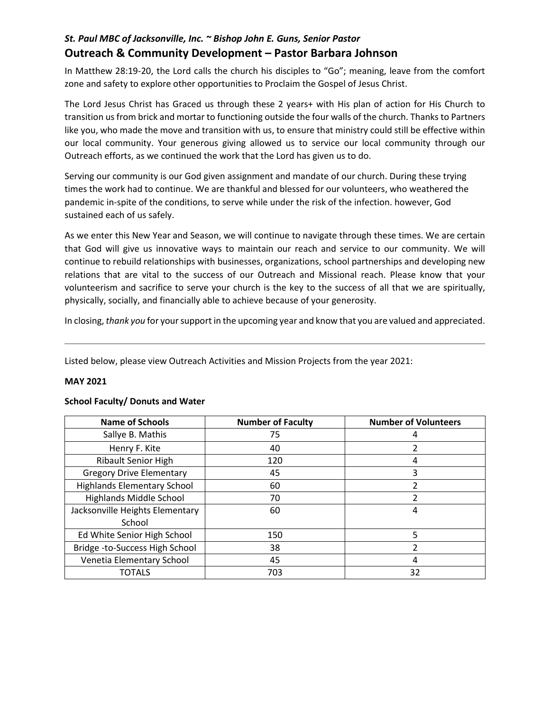## *St. Paul MBC of Jacksonville, Inc. ~ Bishop John E. Guns, Senior Pastor*  **Outreach & Community Development – Pastor Barbara Johnson**

In Matthew 28:19-20, the Lord calls the church his disciples to "Go"; meaning, leave from the comfort zone and safety to explore other opportunities to Proclaim the Gospel of Jesus Christ.

The Lord Jesus Christ has Graced us through these 2 years+ with His plan of action for His Church to transition us from brick and mortar to functioning outside the four walls of the church. Thanks to Partners like you, who made the move and transition with us, to ensure that ministry could still be effective within our local community. Your generous giving allowed us to service our local community through our Outreach efforts, as we continued the work that the Lord has given us to do.

Serving our community is our God given assignment and mandate of our church. During these trying times the work had to continue. We are thankful and blessed for our volunteers, who weathered the pandemic in-spite of the conditions, to serve while under the risk of the infection. however, God sustained each of us safely.

As we enter this New Year and Season, we will continue to navigate through these times. We are certain that God will give us innovative ways to maintain our reach and service to our community. We will continue to rebuild relationships with businesses, organizations, school partnerships and developing new relations that are vital to the success of our Outreach and Missional reach. Please know that your volunteerism and sacrifice to serve your church is the key to the success of all that we are spiritually, physically, socially, and financially able to achieve because of your generosity.

In closing, *thank you* for your support in the upcoming year and know that you are valued and appreciated.

Listed below, please view Outreach Activities and Mission Projects from the year 2021:

#### **MAY 2021**

#### **School Faculty/ Donuts and Water**

| <b>Name of Schools</b>             | <b>Number of Faculty</b> | <b>Number of Volunteers</b> |  |  |
|------------------------------------|--------------------------|-----------------------------|--|--|
| Sallye B. Mathis                   | 75                       | 4                           |  |  |
| Henry F. Kite                      | 40                       |                             |  |  |
| <b>Ribault Senior High</b>         | 120                      | 4                           |  |  |
| <b>Gregory Drive Elementary</b>    | 45                       | 3                           |  |  |
| <b>Highlands Elementary School</b> | 60                       |                             |  |  |
| <b>Highlands Middle School</b>     | 70                       | 2                           |  |  |
| Jacksonville Heights Elementary    | 60                       | 4                           |  |  |
| School                             |                          |                             |  |  |
| Ed White Senior High School        | 150                      | 5                           |  |  |
| Bridge -to-Success High School     | 38                       | ำ                           |  |  |
| Venetia Elementary School          | 45                       | 4                           |  |  |
| <b>TOTALS</b>                      | 703                      | 32                          |  |  |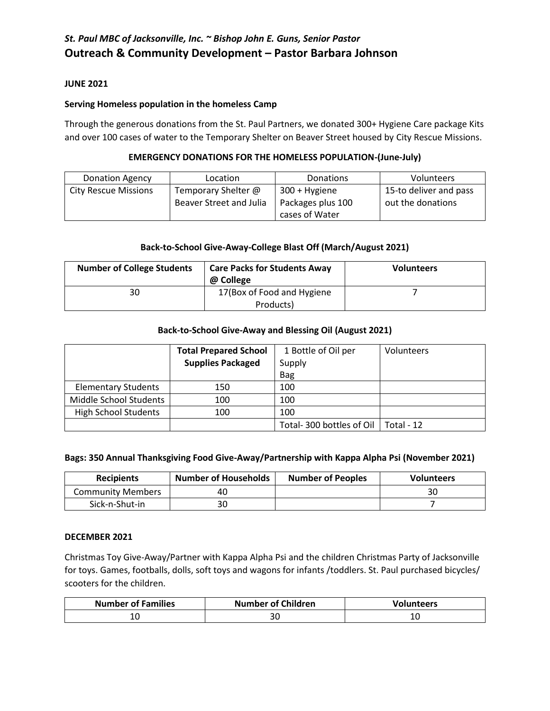## *St. Paul MBC of Jacksonville, Inc. ~ Bishop John E. Guns, Senior Pastor*  **Outreach & Community Development – Pastor Barbara Johnson**

#### **JUNE 2021**

#### **Serving Homeless population in the homeless Camp**

Through the generous donations from the St. Paul Partners, we donated 300+ Hygiene Care package Kits and over 100 cases of water to the Temporary Shelter on Beaver Street housed by City Rescue Missions.

### **EMERGENCY DONATIONS FOR THE HOMELESS POPULATION-(June-July)**

| <b>Donation Agency</b>      | Location                | <b>Donations</b>  | Volunteers             |  |
|-----------------------------|-------------------------|-------------------|------------------------|--|
| <b>City Rescue Missions</b> | Temporary Shelter @     | 300 + Hygiene     | 15-to deliver and pass |  |
|                             | Beaver Street and Julia | Packages plus 100 | out the donations      |  |
|                             |                         | cases of Water    |                        |  |

#### **Back-to-School Give-Away-College Blast Off (March/August 2021)**

| <b>Number of College Students</b> | <b>Care Packs for Students Away</b><br>@ College | <b>Volunteers</b> |
|-----------------------------------|--------------------------------------------------|-------------------|
| 30                                | 17 (Box of Food and Hygiene<br>Products)         |                   |

#### **Back-to-School Give-Away and Blessing Oil (August 2021)**

|                             | <b>Total Prepared School</b> | 1 Bottle of Oil per      | Volunteers |
|-----------------------------|------------------------------|--------------------------|------------|
|                             | <b>Supplies Packaged</b>     | Supply                   |            |
|                             |                              | <b>Bag</b>               |            |
| <b>Elementary Students</b>  | 150                          | 100                      |            |
| Middle School Students      | 100                          | 100                      |            |
| <b>High School Students</b> | 100                          | 100                      |            |
|                             |                              | Total-300 bottles of Oil | Total - 12 |

#### **Bags: 350 Annual Thanksgiving Food Give-Away/Partnership with Kappa Alpha Psi (November 2021)**

| <b>Recipients</b>        | <b>Number of Households</b><br><b>Number of Peoples</b> |  | <b>Volunteers</b> |  |
|--------------------------|---------------------------------------------------------|--|-------------------|--|
| <b>Community Members</b> | 40                                                      |  | 30                |  |
| Sick-n-Shut-in           | 30                                                      |  |                   |  |

#### **DECEMBER 2021**

Christmas Toy Give-Away/Partner with Kappa Alpha Psi and the children Christmas Party of Jacksonville for toys. Games, footballs, dolls, soft toys and wagons for infants /toddlers. St. Paul purchased bicycles/ scooters for the children.

| <b>Number of Families</b> | <b>Number of Children</b> | <b>Volunteers</b> |  |  |
|---------------------------|---------------------------|-------------------|--|--|
| ᅭ<br>$\sim$               |                           | ⊥∪                |  |  |